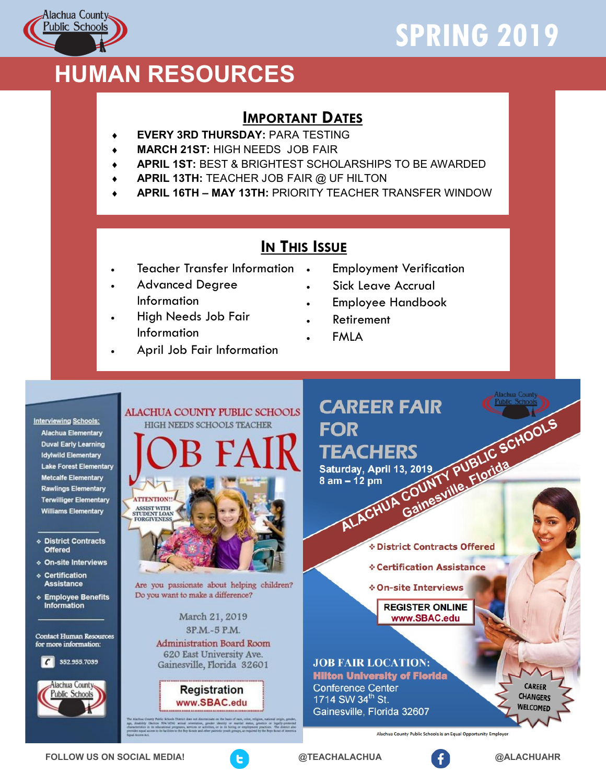# **SPRING 2019**



## **HUMAN RESOURCES**

#### **IMPORTANT DATES**

- **EVERY 3RD THURSDAY:** PARA TESTING
- **MARCH 21ST:** HIGH NEEDS JOB FAIR
- **APRIL 1ST:** BEST & BRIGHTEST SCHOLARSHIPS TO BE AWARDED
- **APRIL 13TH:** TEACHER JOB FAIR @ UF HILTON
- **APRIL 16TH – MAY 13TH:** PRIORITY TEACHER TRANSFER WINDOW

#### **IN THIS ISSUE**

- Teacher Transfer Information
- Advanced Degree Information
- High Needs Job Fair Information
- April Job Fair Information
- Employment Verification
- Sick Leave Accrual
- Employee Handbook
- Retirement
- FMLA

**Interviewing Schools: Alachua Elementary Duval Early Learning Idylwild Elementary Lake Forest Elementary** Metcalfe Elementary **Rawlings Elementary Terwilliger Elementary Williams Elementary** 

**Exercic Contracts Offered** 

- ◈ On-site Interviews
- ◈ Certification **Assistance**
- Employee Benefits<br>Information

**Contact Human Resources** for more information:

352.955.7039  $\epsilon$ 





Are you passionate about helping children? Do you want to make a difference?

> March 21, 2019 3P.M.-5 P.M.

**Administration Board Room** 620 East University Ave. Gainesville, Florida 32601

> **Registration** www.SBAC.edu

**CAREER FAIR** AREER FAIR<br>OR<br>EACHERS<br>urday, April 13, 2019<br>m – 12 pm<br>ALACHUA Gainesville, Florida<br>ALACHUA Gainesville, Florida **FOR TEACHERS** Saturday, April 13, 2019  $8$  am  $-12$  pm

*&* District Contracts Offered

**∻ Certification Assistance** 

**∻On-site Interviews** 

**REGISTER ONLINE** www.SBAC.edu

**JOB FAIR LOCATION: Hilton University of Florida Conference Center** 1714 SW 34<sup>th</sup> St. Gainesville, Florida 32607

**CARFFR CHANGERS** WELCOMED

Alachua County Public Schools is an Equal Opportunity Employer

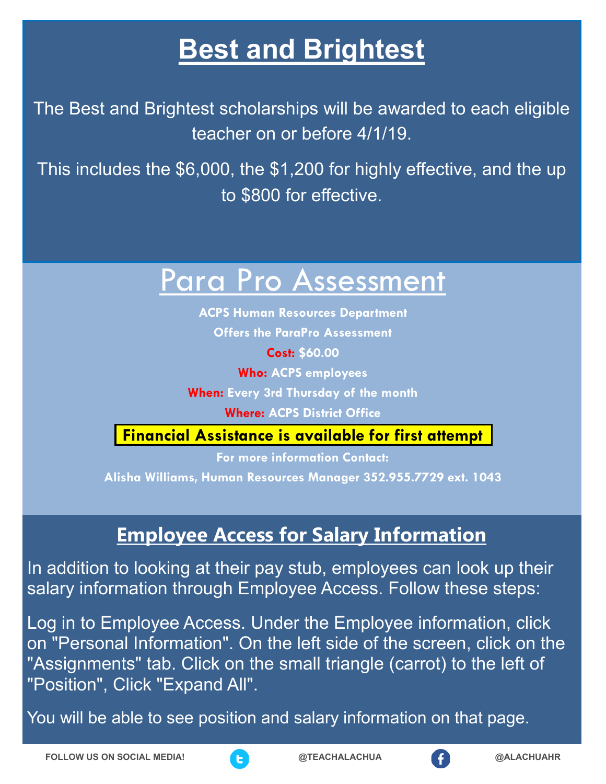## **Best and Brightest**

The Best and Brightest scholarships will be awarded to each eligible teacher on or before 4/1/19.

This includes the \$6,000, the \$1,200 for highly effective, and the up to \$800 for effective.

# Para Pro Assessment

**ACPS Human Resources Department Offers the ParaPro Assessment**

**Cost: \$60.00**

**Who: ACPS employees**

**When: Every 3rd Thursday of the month**

**Where: ACPS District Office**

**Financial Assistance is available for first attempt**

**For more information Contact: Alisha Williams, Human Resources Manager 352.955.7729 ext. 1043**

### **Employee Access for Salary Information**

In addition to looking at their pay stub, employees can look up their salary information through Employee Access. Follow these steps:

Log in to Employee Access. Under the Employee information, click on "Personal Information". On the left side of the screen, click on the "Assignments" tab. Click on the small triangle (carrot) to the left of "Position", Click "Expand All".

You will be able to see position and salary information on that page.



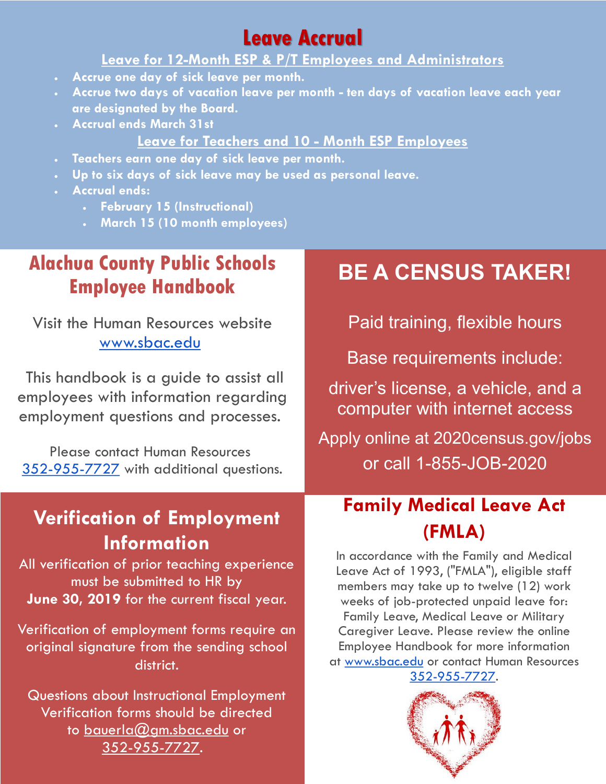### **Leave Accrual**

#### **Leave for 12-Month ESP & P/T Employees and Administrators**

- **Accrue one day of sick leave per month.**
- **Accrue two days of vacation leave per month - ten days of vacation leave each year are designated by the Board.**
- **Accrual ends March 31st**

#### **Leave for Teachers and 10 - Month ESP Employees**

- **Teachers earn one day of sick leave per month.**
- **Up to six days of sick leave may be used as personal leave.**
- **Accrual ends:**
	- **February 15 (Instructional)**
	- **March 15 (10 month employees)**

### **Alachua County Public Schools Employee Handbook**

Visit the Human Resources website [www.sbac.edu](http://www.sbac.edu/)

This handbook is a guide to assist all employees with information regarding employment questions and processes.

Please contact Human Resources [352-955-7727](tel:352-955-7727) with additional questions.

### **Verification of Employment Information**

All verification of prior teaching experience must be submitted to HR by **June 30, 2019** for the current fiscal year.

Verification of employment forms require an original signature from the sending school district.

Questions about Instructional Employment Verification forms should be directed to [bauerla@gm.sbac.edu](mailto:bauerla@gm.sbac.edu) or 352-955-7727.

## **BE A CENSUS TAKER!**

Paid training, flexible hours

Base requirements include:

driver's license, a vehicle, and a computer with internet access

#### Apply online at 2020census.gov/jobs or call 1-855-JOB-2020

### **Family Medical Leave Act (FMLA)**

In accordance with the Family and Medical Leave Act of 1993, ("FMLA"), eligible staff members may take up to twelve (12) work weeks of job-protected unpaid leave for: Family Leave, Medical Leave or Military Caregiver Leave. Please review the online Employee Handbook for more information at [www.sbac.edu](http://www.sbac.edu/) or contact Human Resources [352-955-7727.](tel:352-955-7724)

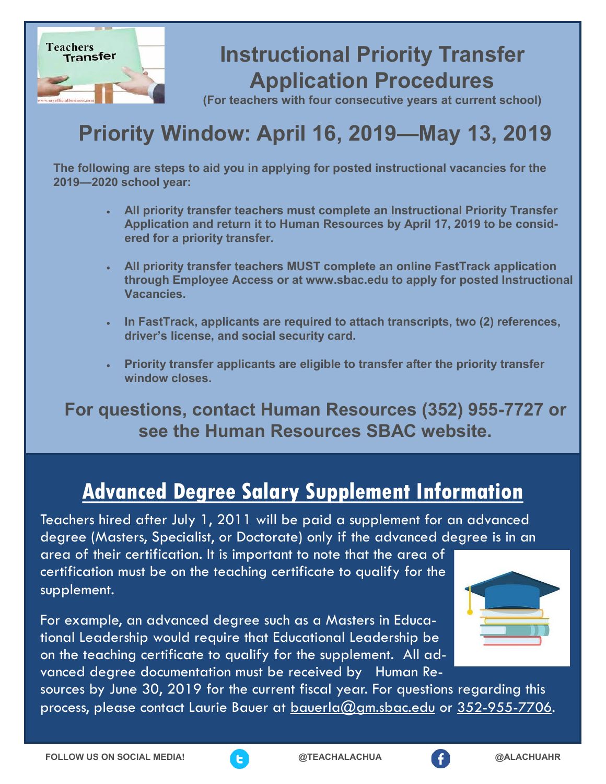

## **Instructional Priority Transfer Application Procedures**

**(For teachers with four consecutive years at current school)**

## **Priority Window: April 16, 2019—May 13, 2019**

**The following are steps to aid you in applying for posted instructional vacancies for the 2019—2020 school year:**

- **All priority transfer teachers must complete an Instructional Priority Transfer Application and return it to Human Resources by April 17, 2019 to be considered for a priority transfer.**
- **All priority transfer teachers MUST complete an online FastTrack application through Employee Access or at www.sbac.edu to apply for posted Instructional Vacancies.**
- **In FastTrack, applicants are required to attach transcripts, two (2) references, driver's license, and social security card.**
- **Priority transfer applicants are eligible to transfer after the priority transfer window closes.**

**For questions, contact Human Resources (352) 955-7727 or see the Human Resources SBAC website.**

### **Advanced Degree Salary Supplement Information**

Teachers hired after July 1, 2011 will be paid a supplement for an advanced degree (Masters, Specialist, or Doctorate) only if the advanced degree is in an

area of their certification. It is important to note that the area of certification must be on the teaching certificate to qualify for the supplement.

For example, an advanced degree such as a Masters in Educational Leadership would require that Educational Leadership be on the teaching certificate to qualify for the supplement. All advanced degree documentation must be received by Human Re-



sources by June 30, 2019 for the current fiscal year. For questions regarding this process, please contact Laurie Bauer at [bauerla@gm.sbac.edu](mailto:bauerla@gm.sbac.edu) or 352-955-7706.



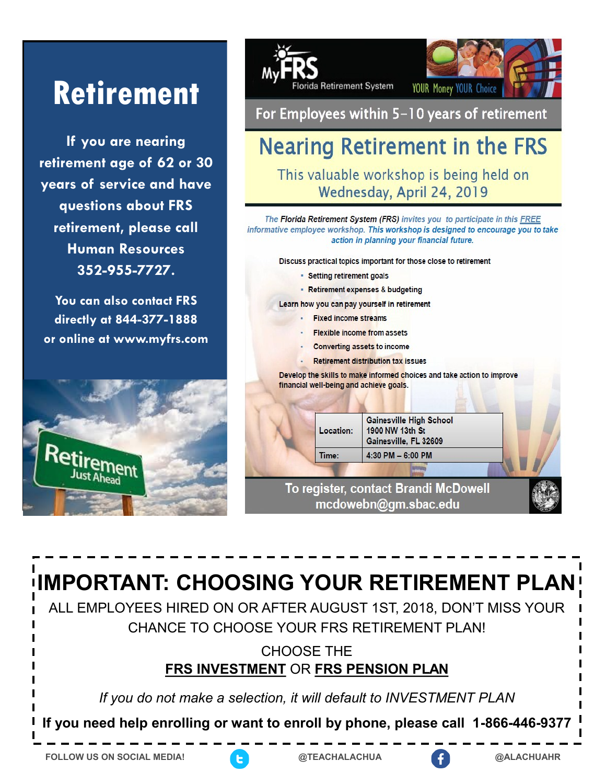# **Retirement**

If you are nearing retirement age of 62 or 30 years of service and have questions about FRS retirement, please call **Human Resources** 352-955-7727.

You can also contact FRS directly at 844-377-1888 or online at www.myfrs.com





For Employees within 5-10 years of retirement

## **Nearing Retirement in the FRS**

This valuable workshop is being held on Wednesday, April 24, 2019

The Florida Retirement System (FRS) invites you to participate in this FREE informative employee workshop. This workshop is designed to encourage you to take action in planning your financial future.

Discuss practical topics important for those close to retirement

- Setting retirement goals
- Retirement expenses & budgeting

Learn how you can pay yourself in retirement

- **Fixed income streams**
- **Flexible income from assets**
- **Converting assets to income**
- **Retirement distribution tax issues**

Develop the skills to make informed choices and take action to improve financial well-being and achieve goals.

| Location: | <b>Gainesville High School</b><br>1900 NW 13th St<br>Gainesville, FL 32609 |  |
|-----------|----------------------------------------------------------------------------|--|
| Time:     | 4:30 PM $-6:00$ PM                                                         |  |
|           |                                                                            |  |
|           | To register, contact Brandi McDowell<br>medowebn@am shac edu               |  |